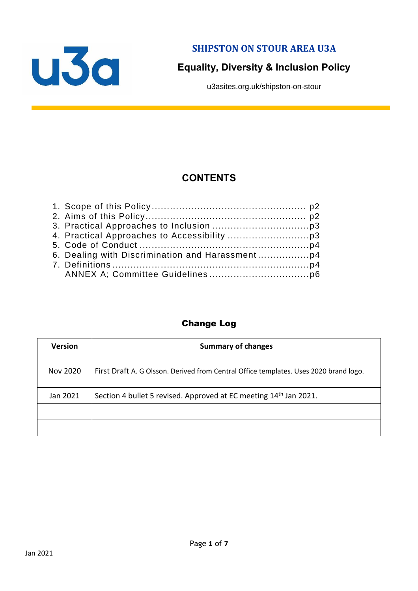

**SHIPSTON ON STOUR AREA U3A**

# **Equality, Diversity & Inclusion Policy**

u3asites.org.uk/shipston-on-stour

# **CONTENTS**

#### Change Log

| <b>Version</b> | <b>Summary of changes</b>                                                             |
|----------------|---------------------------------------------------------------------------------------|
| Nov 2020       | First Draft A. G Olsson. Derived from Central Office templates. Uses 2020 brand logo. |
| Jan 2021       | Section 4 bullet 5 revised. Approved at EC meeting 14 <sup>th</sup> Jan 2021.         |
|                |                                                                                       |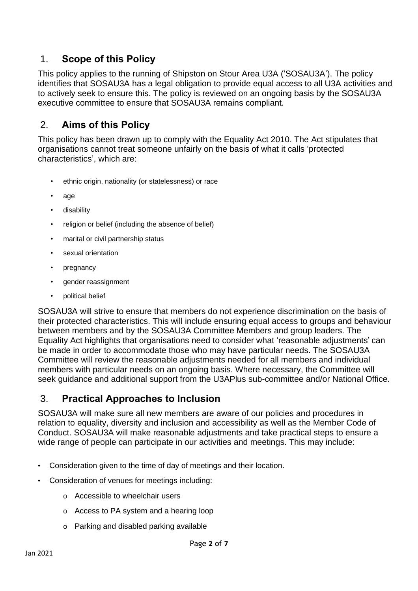### 1. **Scope of this Policy**

This policy applies to the running of Shipston on Stour Area U3A ('SOSAU3A'). The policy identifies that SOSAU3A has a legal obligation to provide equal access to all U3A activities and to actively seek to ensure this. The policy is reviewed on an ongoing basis by the SOSAU3A executive committee to ensure that SOSAU3A remains compliant.

# 2. **Aims of this Policy**

This policy has been drawn up to comply with the Equality Act 2010. The Act stipulates that organisations cannot treat someone unfairly on the basis of what it calls 'protected characteristics', which are:

- ethnic origin, nationality (or statelessness) or race
- age
- disability
- religion or belief (including the absence of belief)
- marital or civil partnership status
- sexual orientation
- pregnancy
- gender reassignment
- political belief

SOSAU3A will strive to ensure that members do not experience discrimination on the basis of their protected characteristics. This will include ensuring equal access to groups and behaviour between members and by the SOSAU3A Committee Members and group leaders. The Equality Act highlights that organisations need to consider what 'reasonable adjustments' can be made in order to accommodate those who may have particular needs. The SOSAU3A Committee will review the reasonable adjustments needed for all members and individual members with particular needs on an ongoing basis. Where necessary, the Committee will seek guidance and additional support from the U3APlus sub-committee and/or National Office.

# 3. **Practical Approaches to Inclusion**

SOSAU3A will make sure all new members are aware of our policies and procedures in relation to equality, diversity and inclusion and accessibility as well as the Member Code of Conduct. SOSAU3A will make reasonable adjustments and take practical steps to ensure a wide range of people can participate in our activities and meetings. This may include:

- Consideration given to the time of day of meetings and their location.
- Consideration of venues for meetings including:
	- o Accessible to wheelchair users
	- o Access to PA system and a hearing loop
	- o Parking and disabled parking available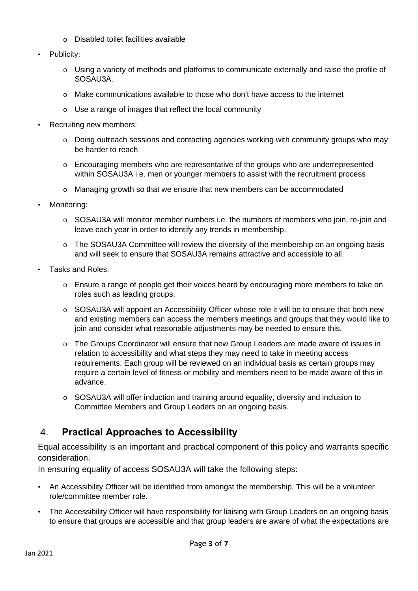- o Disabled toilet facilities available
- Publicity:
	- o Using a variety of methods and platforms to communicate externally and raise the profile of SOSAU3A.
	- o Make communications available to those who don't have access to the internet
	- o Use a range of images that reflect the local community
- Recruiting new members:
	- o Doing outreach sessions and contacting agencies working with community groups who may be harder to reach
	- o Encouraging members who are representative of the groups who are underrepresented within SOSAU3A i.e. men or younger members to assist with the recruitment process
	- o Managing growth so that we ensure that new members can be accommodated
- Monitoring:
	- o SOSAU3A will monitor member numbers i.e. the numbers of members who join, re-join and leave each year in order to identify any trends in membership.
	- o The SOSAU3A Committee will review the diversity of the membership on an ongoing basis and will seek to ensure that SOSAU3A remains attractive and accessible to all.
- Tasks and Roles:
	- o Ensure a range of people get their voices heard by encouraging more members to take on roles such as leading groups.
	- o SOSAU3A will appoint an Accessibility Officer whose role it will be to ensure that both new and existing members can access the members meetings and groups that they would like to join and consider what reasonable adjustments may be needed to ensure this.
	- o The Groups Coordinator will ensure that new Group Leaders are made aware of issues in relation to accessibility and what steps they may need to take in meeting access requirements. Each group will be reviewed on an individual basis as certain groups may require a certain level of fitness or mobility and members need to be made aware of this in advance.
	- o SOSAU3A will offer induction and training around equality, diversity and inclusion to Committee Members and Group Leaders on an ongoing basis.

### 4. **Practical Approaches to Accessibility**

Equal accessibility is an important and practical component of this policy and warrants specific consideration.

In ensuring equality of access SOSAU3A will take the following steps:

- An Accessibility Officer will be identified from amongst the membership. This will be a volunteer role/committee member role.
- The Accessibility Officer will have responsibility for liaising with Group Leaders on an ongoing basis to ensure that groups are accessible and that group leaders are aware of what the expectations are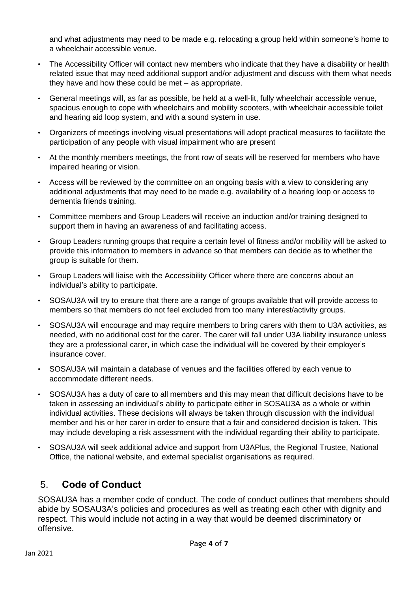and what adjustments may need to be made e.g. relocating a group held within someone's home to a wheelchair accessible venue.

- The Accessibility Officer will contact new members who indicate that they have a disability or health related issue that may need additional support and/or adjustment and discuss with them what needs they have and how these could be met – as appropriate.
- General meetings will, as far as possible, be held at a well-lit, fully wheelchair accessible venue, spacious enough to cope with wheelchairs and mobility scooters, with wheelchair accessible toilet and hearing aid loop system, and with a sound system in use.
- Organizers of meetings involving visual presentations will adopt practical measures to facilitate the participation of any people with visual impairment who are present
- At the monthly members meetings, the front row of seats will be reserved for members who have impaired hearing or vision.
- Access will be reviewed by the committee on an ongoing basis with a view to considering any additional adjustments that may need to be made e.g. availability of a hearing loop or access to dementia friends training.
- Committee members and Group Leaders will receive an induction and/or training designed to support them in having an awareness of and facilitating access.
- Group Leaders running groups that require a certain level of fitness and/or mobility will be asked to provide this information to members in advance so that members can decide as to whether the group is suitable for them.
- Group Leaders will liaise with the Accessibility Officer where there are concerns about an individual's ability to participate.
- SOSAU3A will try to ensure that there are a range of groups available that will provide access to members so that members do not feel excluded from too many interest/activity groups.
- SOSAU3A will encourage and may require members to bring carers with them to U3A activities, as needed, with no additional cost for the carer. The carer will fall under U3A liability insurance unless they are a professional carer, in which case the individual will be covered by their employer's insurance cover.
- SOSAU3A will maintain a database of venues and the facilities offered by each venue to accommodate different needs.
- SOSAU3A has a duty of care to all members and this may mean that difficult decisions have to be taken in assessing an individual's ability to participate either in SOSAU3A as a whole or within individual activities. These decisions will always be taken through discussion with the individual member and his or her carer in order to ensure that a fair and considered decision is taken. This may include developing a risk assessment with the individual regarding their ability to participate.
- SOSAU3A will seek additional advice and support from U3APlus, the Regional Trustee, National Office, the national website, and external specialist organisations as required.

# 5. **Code of Conduct**

SOSAU3A has a member code of conduct. The code of conduct outlines that members should abide by SOSAU3A's policies and procedures as well as treating each other with dignity and respect. This would include not acting in a way that would be deemed discriminatory or offensive.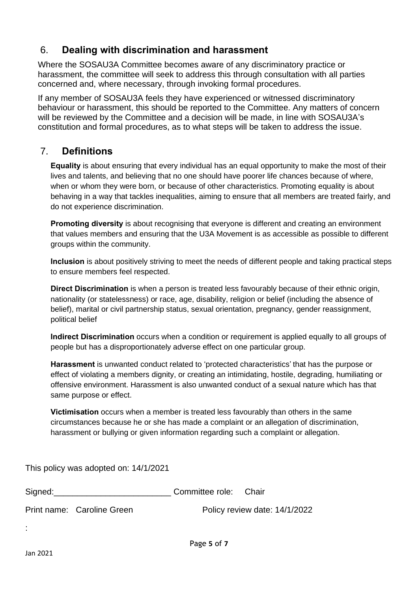### 6. **Dealing with discrimination and harassment**

Where the SOSAU3A Committee becomes aware of any discriminatory practice or harassment, the committee will seek to address this through consultation with all parties concerned and, where necessary, through invoking formal procedures.

If any member of SOSAU3A feels they have experienced or witnessed discriminatory behaviour or harassment, this should be reported to the Committee. Any matters of concern will be reviewed by the Committee and a decision will be made, in line with SOSAU3A's constitution and formal procedures, as to what steps will be taken to address the issue.

#### 7. **Definitions**

**Equality** is about ensuring that every individual has an equal opportunity to make the most of their lives and talents, and believing that no one should have poorer life chances because of where, when or whom they were born, or because of other characteristics. Promoting equality is about behaving in a way that tackles inequalities, aiming to ensure that all members are treated fairly, and do not experience discrimination.

**Promoting diversity** is about recognising that everyone is different and creating an environment that values members and ensuring that the U3A Movement is as accessible as possible to different groups within the community.

**Inclusion** is about positively striving to meet the needs of different people and taking practical steps to ensure members feel respected.

**Direct Discrimination** is when a person is treated less favourably because of their ethnic origin, nationality (or statelessness) or race, age, disability, religion or belief (including the absence of belief), marital or civil partnership status, sexual orientation, pregnancy, gender reassignment, political belief

**Indirect Discrimination** occurs when a condition or requirement is applied equally to all groups of people but has a disproportionately adverse effect on one particular group.

**Harassment** is unwanted conduct related to 'protected characteristics' that has the purpose or effect of violating a members dignity, or creating an intimidating, hostile, degrading, humiliating or offensive environment. Harassment is also unwanted conduct of a sexual nature which has that same purpose or effect.

**Victimisation** occurs when a member is treated less favourably than others in the same circumstances because he or she has made a complaint or an allegation of discrimination, harassment or bullying or given information regarding such a complaint or allegation.

This policy was adopted on: 14/1/2021

| Signed: |                            | Committee role: Chair |                               |
|---------|----------------------------|-----------------------|-------------------------------|
|         | Print name: Caroline Green |                       | Policy review date: 14/1/2022 |

: